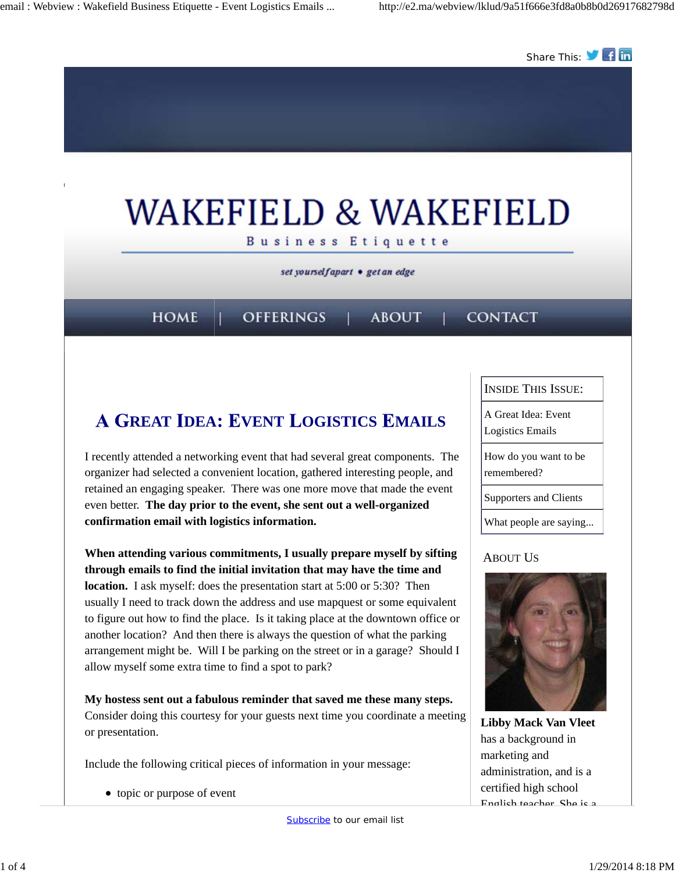

# **A GREAT IDEA: EVENT LOGISTICS EMAILS**

I recently attended a networking event that had several great components. The organizer had selected a convenient location, gathered interesting people, and retained an engaging speaker. There was one more move that made the event even better. **The day prior to the event, she sent out a well-organized confirmation email with logistics information.** 

**When attending various commitments, I usually prepare myself by sifting through emails to find the initial invitation that may have the time and location.** I ask myself: does the presentation start at 5:00 or 5:30? Then usually I need to track down the address and use mapquest or some equivalent to figure out how to find the place. Is it taking place at the downtown office or another location? And then there is always the question of what the parking arrangement might be. Will I be parking on the street or in a garage? Should I allow myself some extra time to find a spot to park?

**My hostess sent out a fabulous reminder that saved me these many steps.** Consider doing this courtesy for your guests next time you coordinate a meeting or presentation.

Include the following critical pieces of information in your message:

• topic or purpose of event

INSIDE THIS ISSUE:

A Great Idea: Event

Logistics Emails

How do you want to be remembered?

Supporters and Clients

What people are saying...

### ABOUT US



**Libby Mack Van Vleet** has a background in marketing and administration, and is a certified high school English teacher. She is a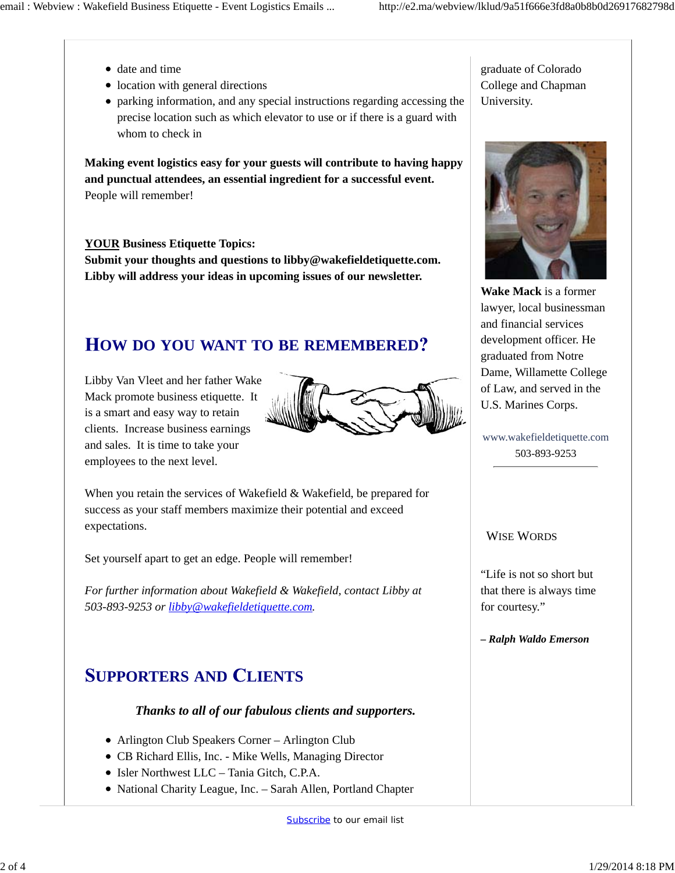- date and time
- location with general directions
- parking information, and any special instructions regarding accessing the precise location such as which elevator to use or if there is a guard with whom to check in

**Making event logistics easy for your guests will contribute to having happy and punctual attendees, an essential ingredient for a successful event.**  People will remember!

### **YOUR Business Etiquette Topics:**

**Submit your thoughts and questions to libby@wakefieldetiquette.com. Libby will address your ideas in upcoming issues of our newsletter.**

## **OW DO YOU WANT TO BE REMEMBERED**

Libby Van Vleet and her father Wake Mack promote business etiquette. It is a smart and easy way to retain clients. Increase business earnings and sales. It is time to take your employees to the next level.



When you retain the services of Wakefield & Wakefield, be prepared for success as your staff members maximize their potential and exceed expectations.

Set yourself apart to get an edge. People will remember!

*For further information about Wakefield & Wakefield, contact Libby at 503-893-9253 or libby@wakefieldetiquette.com.*

### **UPPORTERS AND LIENTS**

### *Thanks to all of our fabulous clients and supporters.*

- Arlington Club Speakers Corner Arlington Club
- CB Richard Ellis, Inc. Mike Wells, Managing Director
- $\bullet$  Isler Northwest LLC Tania Gitch, C.P.A.
- National Charity League, Inc. Sarah Allen, Portland Chapter

graduate of Colorado College and Chapman University.



**Wake Mack** is a former lawyer, local businessman and financial services development officer. He graduated from Notre Dame, Willamette College of Law, and served in the U.S. Marines Corps.

www.wakefieldetiquette.com 503-893-9253

#### WISE WORDS

"Life is not so short but that there is always time for courtesy."

*– Ralph Waldo Emerson*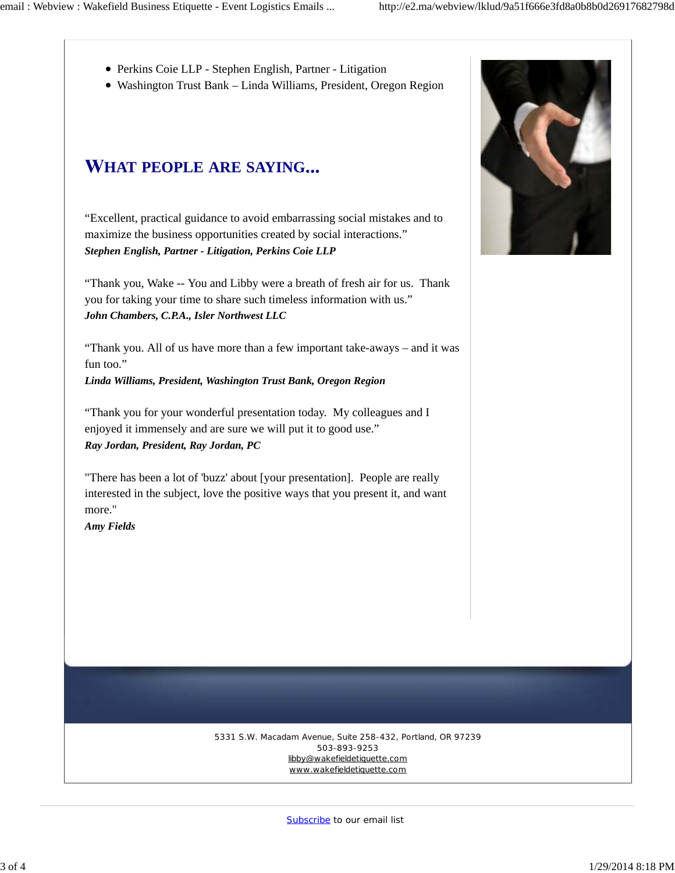- Perkins Coie LLP Stephen English, Partner Litigation
- Washington Trust Bank Linda Williams, President, Oregon Region

# **HAT PEOPLE ARE SAYING**

"Excellent, practical guidance to avoid embarrassing social mistakes and to maximize the business opportunities created by social interactions." *Stephen English, Partner - Litigation, Perkins Coie LLP*

"Thank you, Wake -- You and Libby were a breath of fresh air for us. Thank you for taking your time to share such timeless information with us." *John Chambers, C.P.A., Isler Northwest LLC*

"Thank you. All of us have more than a few important take-aways – and it was fun too."

*Linda Williams, President, Washington Trust Bank, Oregon Region*

"Thank you for your wonderful presentation today. My colleagues and I enjoyed it immensely and are sure we will put it to good use." *Ray Jordan, President, Ray Jordan, PC*

"There has been a lot of 'buzz' about [your presentation]. People are really interested in the subject, love the positive ways that you present it, and want more."

*Amy Fields*



5331 S.W. Macadam Avenue, Suite 258-432, Portland, OR 97239 503-893-9253 libby@wakefieldetiquette.com www.wakefieldetiquette.com

Subscribe to our email list